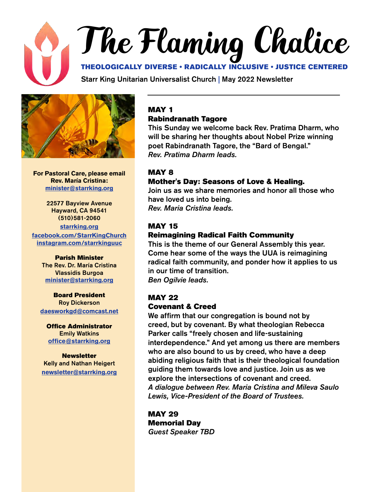# The Flaming Chalice THEOLOGICALLY DIVERSE • RADICALLY INCLUSIVE • JUSTICE CENTERED

Starr King Unitarian Universalist Church | May 2022 Newsletter



**For Pastoral Care, please email Rev. María Cristina: [minister@starrking.org](mailto:minister%40starrking.org?subject=)**

22577 Bayview Avenue Hayward, CA 94541 (510)581-2060 **[starrking.org](http://starrking.org) [facebook.com/StarrKingChurch](http://facebook.com/StarrKingChurch) [instagram.com/starrkinguuc](https://www.instagram.com/starrkinguuc )**

> Parish Minister The Rev. Dr. María Cristina Vlassidis Burgoa **[minister@starrking.org](mailto:minister@starrking.org)**

#### Board President Roy Dickerson **[daesworkgd@comcast.net](mailto:daesworkgd%40comcast.net?subject=)**

Office Administrator Emily Watkins **[office@starrking.org](mailto:office%40starrking.org?subject=)**

Newsletter Kelly and Nathan Heigert **[newsletter@starrking.org](mailto:newsletter%40starrking.org?subject=)**

#### MAY 1 Rabindranath Tagore

This Sunday we welcome back Rev. Pratima Dharm, who will be sharing her thoughts about Nobel Prize winning poet Rabindranath Tagore, the "Bard of Bengal." *Rev. Pratima Dharm leads.*

#### MAY 8

#### Mother's Day: Seasons of Love & Healing.

Join us as we share memories and honor all those who have loved us into being. *Rev. Maria Cristina leads.*

#### MAY 15

#### Reimagining Radical Faith Community

This is the theme of our General Assembly this year. Come hear some of the ways the UUA is reimagining radical faith community, and ponder how it applies to us in our time of transition. *Ben Ogilvie leads.*

#### MAY 22

#### Covenant & Creed

We affirm that our congregation is bound not by creed, but by covenant. By what theologian Rebecca Parker calls "freely chosen and life-sustaining interdependence." And yet among us there are members who are also bound to us by creed, who have a deep abiding religious faith that is their theological foundation guiding them towards love and justice. Join us as we explore the intersections of covenant and creed. *A dialogue between Rev. Maria Cristina and Mileva Saulo Lewis, Vice-President of the Board of Trustees.*

MAY 29 Memorial Day *Guest Speaker TBD*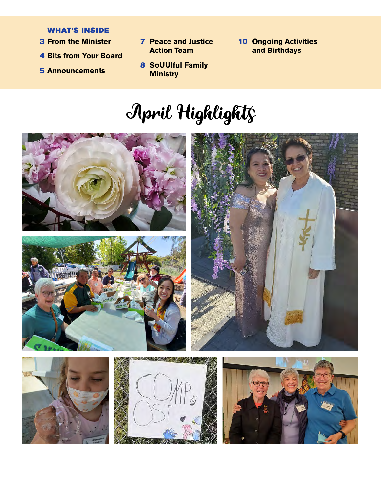#### WHAT'S INSIDE

- **3 From the Minister**
- 4 **Bits from Your Board**
- 5 **Announcements**
- **From the Minister**  10 **Peace and Justice** 10 **Action Team**
- **10 Ongoing Activities and Birthdays**
	- 8 **SoUUlful Family Ministry**

# April Highlights







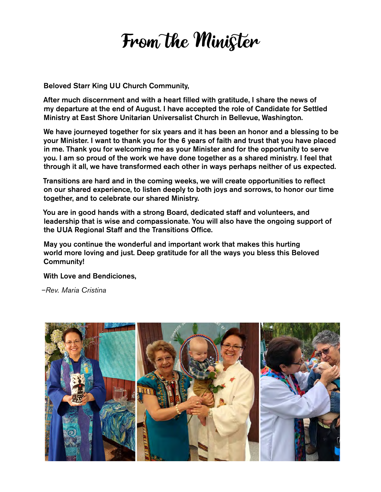## From the Minister

Beloved Starr King UU Church Community,

After much discernment and with a heart filled with gratitude, I share the news of my departure at the end of August. I have accepted the role of Candidate for Settled Ministry at East Shore Unitarian Universalist Church in Bellevue, Washington.

We have journeyed together for six years and it has been an honor and a blessing to be your Minister. I want to thank you for the 6 years of faith and trust that you have placed in me. Thank you for welcoming me as your Minister and for the opportunity to serve you. I am so proud of the work we have done together as a shared ministry. I feel that through it all, we have transformed each other in ways perhaps neither of us expected.

Transitions are hard and in the coming weeks, we will create opportunities to reflect on our shared experience, to listen deeply to both joys and sorrows, to honor our time together, and to celebrate our shared Ministry.

You are in good hands with a strong Board, dedicated staff and volunteers, and leadership that is wise and compassionate. You will also have the ongoing support of the UUA Regional Staff and the Transitions Office.

May you continue the wonderful and important work that makes this hurting world more loving and just. Deep gratitude for all the ways you bless this Beloved Community!

With Love and Bendiciones,

*–Rev. Maria Cristina*

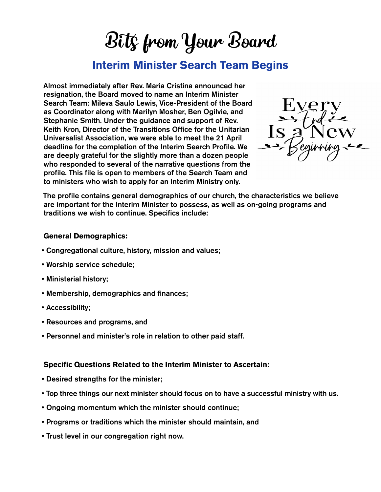Bits from Your Board

#### **Interim Minister Search Team Begins**

Almost immediately after Rev. Maria Cristina announced her resignation, the Board moved to name an Interim Minister Search Team: Mileva Saulo Lewis, Vice-President of the Board as Coordinator along with Marilyn Mosher, Ben Ogilvie, and Stephanie Smith. Under the guidance and support of Rev. Keith Kron, Director of the Transitions Office for the Unitarian Universalist Association, we were able to meet the 21 April deadline for the completion of the Interim Search Profile. We are deeply grateful for the slightly more than a dozen people who responded to several of the narrative questions from the profile. This file is open to members of the Search Team and to ministers who wish to apply for an Interim Ministry only.



The profile contains general demographics of our church, the characteristics we believe are important for the Interim Minister to possess, as well as on-going programs and traditions we wish to continue. Specifics include:

#### **General Demographics:**

- Congregational culture, history, mission and values;
- Worship service schedule;
- Ministerial history;
- Membership, demographics and finances;
- Accessibility;
- Resources and programs, and
- Personnel and minister's role in relation to other paid staff.

#### **Specific Questions Related to the Interim Minister to Ascertain:**

- Desired strengths for the minister;
- Top three things our next minister should focus on to have a successful ministry with us.
- Ongoing momentum which the minister should continue;
- Programs or traditions which the minister should maintain, and
- Trust level in our congregation right now.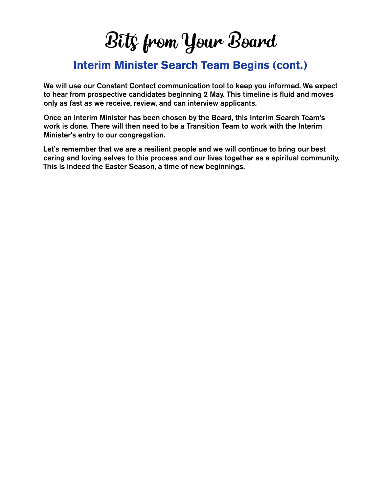Bits from Your Board

#### **Interim Minister Search Team Begins (cont.)**

We will use our Constant Contact communication tool to keep you informed. We expect to hear from prospective candidates beginning 2 May. This timeline is fluid and moves only as fast as we receive, review, and can interview applicants.

Once an Interim Minister has been chosen by the Board, this Interim Search Team's work is done. There will then need to be a Transition Team to work with the Interim Minister's entry to our congregation.

Let's remember that we are a resilient people and we will continue to bring our best caring and loving selves to this process and our lives together as a spiritual community. This is indeed the Easter Season, a time of new beginnings.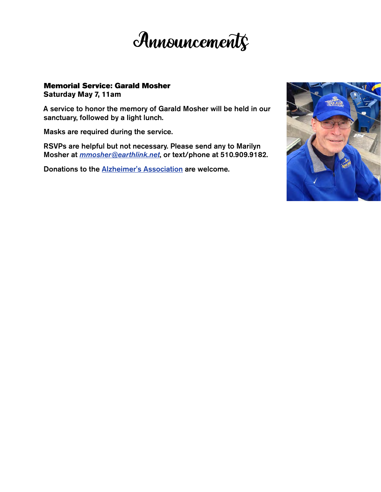

#### Memorial Service: Garald Mosher **Saturday May 7, 11am**

A service to honor the memory of Garald Mosher will be held in our sanctuary, followed by a light lunch.

Masks are required during the service.

RSVPs are helpful but not necessary. Please send any to Marilyn Mosher at *[mmosher@earthlink.net](mailto:mmosher%40earthlink.net?subject=)*, or text/phone at 510.909.9182.

Donations to the [Alzheimer's Association](https://www.alz.org/) are welcome.

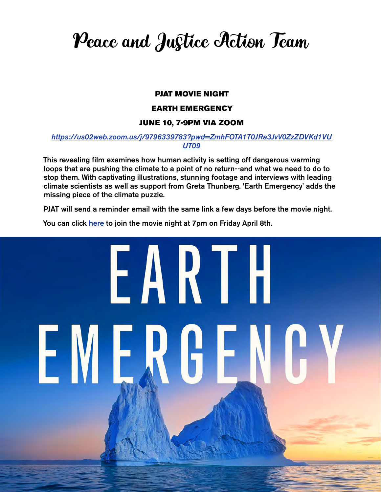Peace and Justice Action Team

#### PJAT MOVIE NIGHT

#### EARTH EMERGENCY

#### JUNE 10, 7-9PM VIA ZOOM

#### *[https://us02web.zoom.us/j/9796339783?pwd=ZmhFOTA1T0JRa3JvV0ZzZDVKd1VU](https://us02web.zoom.us/j/9796339783?pwd=ZmhFOTA1T0JRa3JvV0ZzZDVKd1VUUT09) [UT09](https://us02web.zoom.us/j/9796339783?pwd=ZmhFOTA1T0JRa3JvV0ZzZDVKd1VUUT09)*

This revealing film examines how human activity is setting off dangerous warming loops that are pushing the climate to a point of no return--and what we need to do to stop them. With captivating illustrations, stunning footage and interviews with leading climate scientists as well as support from Greta Thunberg. 'Earth Emergency' adds the missing piece of the climate puzzle.

PJAT will send a reminder email with the same link a few days before the movie night.

You can click [here](https://us02web.zoom.us/j/9796339783?pwd=ZmhFOTA1T0JRa3JvV0ZzZDVKd1VUUT09) to join the movie night at 7pm on Friday April 8th.

# EARTH EMERGE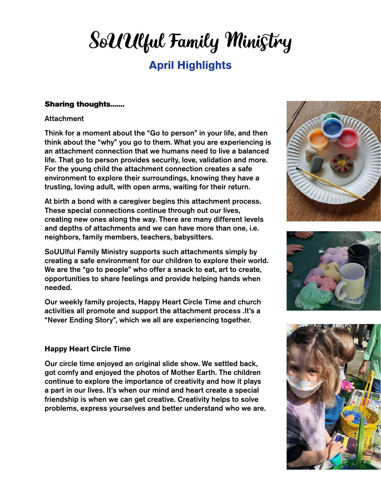### **April Highlights** SoUUlful Family Ministry

#### Sharing thoughts.......

#### **Attachment**

Think for a moment about the "Go to person" in your life, and then think about the "why" you go to them. What you are experiencing is an attachment connection that we humans need to live a balanced life. That go to person provides security, love, validation and more. For the young child the attachment connection creates a safe environment to explore their surroundings, knowing they have a trusting, loving adult, with open arms, waiting for their return.

At birth a bond with a caregiver begins this attachment process. These special connections continue through out our lives, creating new ones along the way. There are many different levels and depths of attachments and we can have more than one, i.e. neighbors, family members, teachers, babysitters.

SoUUlful Family Ministry supports such attachments simply by creating a safe environment for our children to explore their world. We are the "go to people" who offer a snack to eat, art to create, opportunities to share feelings and provide helping hands when needed.

Our weekly family projects, Happy Heart Circle Time and church activities all promote and support the attachment process .It's a "Never Ending Story", which we all are experiencing together.

#### **Happy Heart Circle Time**

Our circle time enjoyed an original slide show. We settled back, got comfy and enjoyed the photos of Mother Earth. The children continue to explore the importance of creativity and how it plays a part in our lives. It's when our mind and heart create a special friendship is when we can get creative. Creativity helps to solve problems, express yourselves and better understand who we are.





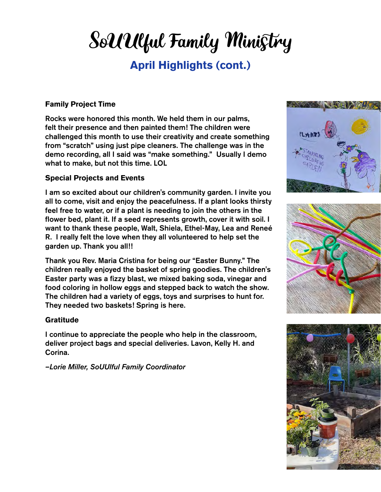# SoUUlful Family Ministry

#### **April Highlights (cont.)**

#### **Family Project Time**

Rocks were honored this month. We held them in our palms, felt their presence and then painted them! The children were challenged this month to use their creativity and create something from "scratch" using just pipe cleaners. The challenge was in the demo recording, all I said was "make something." Usually I demo what to make, but not this time. LOL

#### **Special Projects and Events**

I am so excited about our children's community garden. I invite you all to come, visit and enjoy the peacefulness. If a plant looks thirsty feel free to water, or if a plant is needing to join the others in the flower bed, plant it. If a seed represents growth, cover it with soil. I want to thank these people, Walt, Shiela, Ethel-May, Lea and Reneé R. I really felt the love when they all volunteered to help set the garden up. Thank you all!!

Thank you Rev. Maria Cristina for being our "Easter Bunny." The children really enjoyed the basket of spring goodies. The children's Easter party was a fizzy blast, we mixed baking soda, vinegar and food coloring in hollow eggs and stepped back to watch the show. The children had a variety of eggs, toys and surprises to hunt for. They needed two baskets! Spring is here.

#### **Gratitude**

I continue to appreciate the people who help in the classroom, deliver project bags and special deliveries. Lavon, Kelly H. and Corina.

*–Lorie Miller, SoUUlful Family Coordinator*